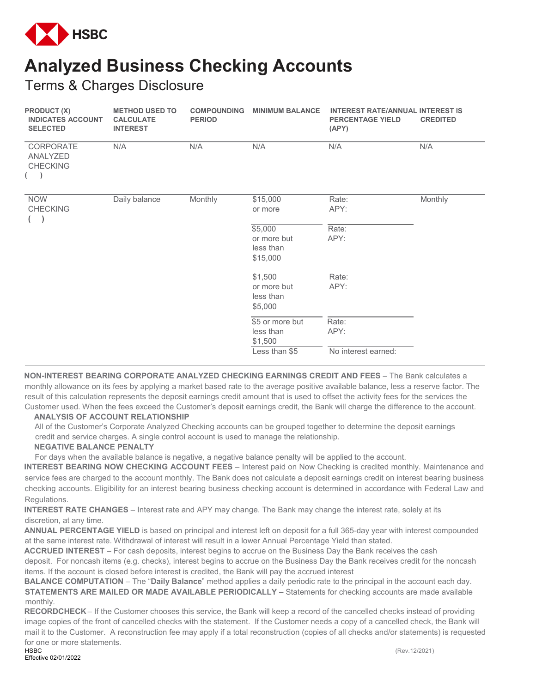

## **Analyzed Business Checking Accounts**

Terms & Charges Disclosure

| <b>PRODUCT (X)</b><br><b>INDICATES ACCOUNT</b><br><b>SELECTED</b> | <b>METHOD USED TO</b><br><b>CALCULATE</b><br><b>INTEREST</b> | <b>COMPOUNDING</b><br><b>PERIOD</b> | <b>MINIMUM BALANCE</b>                                   | <b>INTEREST RATE/ANNUAL INTEREST IS</b><br><b>PERCENTAGE YIELD</b><br>(APY) | <b>CREDITED</b> |
|-------------------------------------------------------------------|--------------------------------------------------------------|-------------------------------------|----------------------------------------------------------|-----------------------------------------------------------------------------|-----------------|
| CORPORATE<br>ANALYZED<br><b>CHECKING</b><br>$($ )                 | N/A                                                          | N/A                                 | N/A                                                      | N/A                                                                         | N/A             |
| <b>NOW</b><br><b>CHECKING</b>                                     | Daily balance                                                | Monthly                             | \$15,000<br>or more                                      | Rate:<br>APY:                                                               | Monthly         |
|                                                                   |                                                              |                                     | \$5,000<br>or more but<br>less than<br>\$15,000          | Rate:<br>APY:                                                               |                 |
|                                                                   |                                                              |                                     | \$1,500<br>or more but<br>less than<br>\$5,000           | Rate:<br>APY:                                                               |                 |
|                                                                   |                                                              |                                     | \$5 or more but<br>less than<br>\$1,500<br>Less than \$5 | Rate:<br>APY:<br>No interest earned:                                        |                 |
|                                                                   |                                                              |                                     |                                                          |                                                                             |                 |

**NON-INTEREST BEARING CORPORATE ANALYZED CHECKING EARNINGS CREDIT AND FEES** – The Bank calculates a monthly allowance on its fees by applying a market based rate to the average positive available balance, less a reserve factor. The result of this calculation represents the deposit earnings credit amount that is used to offset the activity fees for the services the Customer used. When the fees exceed the Customer's deposit earnings credit, the Bank will charge the difference to the account.

## **ANALYSIS OF ACCOUNT RELATIONSHIP**

All of the Customer's Corporate Analyzed Checking accounts can be grouped together to determine the deposit earnings credit and service charges. A single control account is used to manage the relationship.

## **NEGATIVE BALANCE PENALTY**

For days when the available balance is negative, a negative balance penalty will be applied to the account.

**INTEREST BEARING NOW CHECKING ACCOUNT FEES** – Interest paid on Now Checking is credited monthly. Maintenance and service fees are charged to the account monthly. The Bank does not calculate a deposit earnings credit on interest bearing business checking accounts. Eligibility for an interest bearing business checking account is determined in accordance with Federal Law and Regulations.

**INTEREST RATE CHANGES** – Interest rate and APY may change. The Bank may change the interest rate, solely at its discretion, at any time.

**ANNUAL PERCENTAGE YIELD** is based on principal and interest left on deposit for a full 365-day year with interest compounded at the same interest rate. Withdrawal of interest will result in a lower Annual Percentage Yield than stated.

**ACCRUED INTEREST** – For cash deposits, interest begins to accrue on the Business Day the Bank receives the cash deposit. For noncash items (e.g. checks), interest begins to accrue on the Business Day the Bank receives credit for the noncash items. If the account is closed before interest is credited, the Bank will pay the accrued interest

**BALANCE COMPUTATION** – The "**Daily Balance**" method applies a daily periodic rate to the principal in the account each day. **STATEMENTS ARE MAILED OR MADE AVAILABLE PERIODICALLY** - Statements for checking accounts are made available monthly.

**RECORDCHECK** – If the Customer chooses this service, the Bank will keep a record of the cancelled checks instead of providing image copies of the front of cancelled checks with the statement. If the Customer needs a copy of a cancelled check, the Bank will mail it to the Customer. A reconstruction fee may apply if a total reconstruction (copies of all checks and/or statements) is requested for one or more statements.